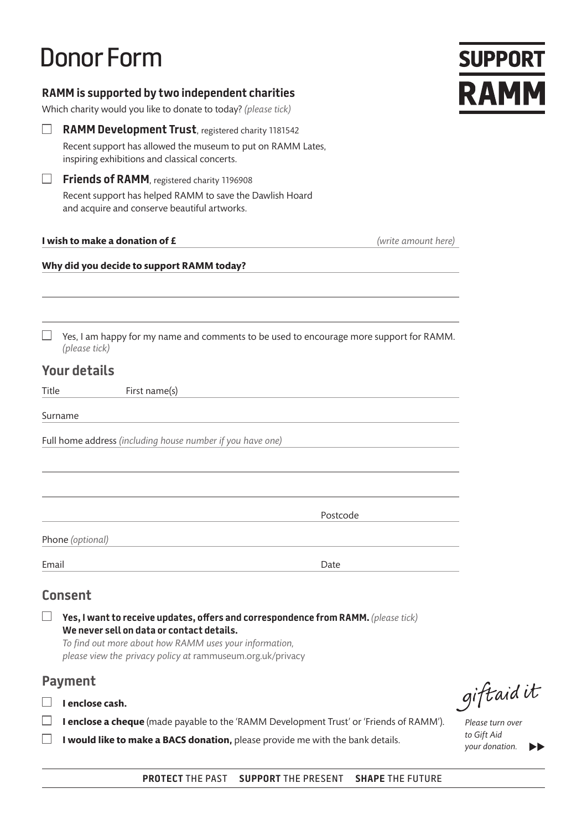# Donor Form

| RAMM is supported by two independent charities<br>Which charity would you like to donate to today? (please tick) |                                                                                                                                                                                                                                                         |                  |
|------------------------------------------------------------------------------------------------------------------|---------------------------------------------------------------------------------------------------------------------------------------------------------------------------------------------------------------------------------------------------------|------------------|
|                                                                                                                  | <b>RAMM Development Trust</b> , registered charity 1181542                                                                                                                                                                                              |                  |
|                                                                                                                  | Recent support has allowed the museum to put on RAMM Lates,<br>inspiring exhibitions and classical concerts.                                                                                                                                            |                  |
| $\Box$                                                                                                           | <b>Friends of RAMM</b> , registered charity 1196908<br>Recent support has helped RAMM to save the Dawlish Hoard<br>and acquire and conserve beautiful artworks.                                                                                         |                  |
|                                                                                                                  | I wish to make a donation of £<br>(write amount here)                                                                                                                                                                                                   |                  |
|                                                                                                                  | Why did you decide to support RAMM today?                                                                                                                                                                                                               |                  |
|                                                                                                                  | Yes, I am happy for my name and comments to be used to encourage more support for RAMM.                                                                                                                                                                 |                  |
|                                                                                                                  | (please tick)                                                                                                                                                                                                                                           |                  |
|                                                                                                                  | <b>Your details</b>                                                                                                                                                                                                                                     |                  |
| Title                                                                                                            | First name(s)                                                                                                                                                                                                                                           |                  |
|                                                                                                                  | Surname<br>Full home address (including house number if you have one)                                                                                                                                                                                   |                  |
|                                                                                                                  | Postcode                                                                                                                                                                                                                                                |                  |
|                                                                                                                  | Phone (optional)                                                                                                                                                                                                                                        |                  |
| Email                                                                                                            | Date                                                                                                                                                                                                                                                    |                  |
|                                                                                                                  | <b>Consent</b>                                                                                                                                                                                                                                          |                  |
|                                                                                                                  | Yes, I want to receive updates, offers and correspondence from RAMM. (please tick)<br>We never sell on data or contact details.<br>To find out more about how RAMM uses your information,<br>please view the privacy policy at rammuseum.org.uk/privacy |                  |
|                                                                                                                  | <b>Payment</b>                                                                                                                                                                                                                                          |                  |
|                                                                                                                  | I enclose cash.                                                                                                                                                                                                                                         | giftaidit        |
|                                                                                                                  | I enclose a cheque (made payable to the 'RAMM Development Trust' or 'Friends of RAMM').                                                                                                                                                                 | Please turn over |

*Please turn over to Gift Aid your donation.*

**SUPPORT** 

**I** would like to make a BACS donation, please provide me with the bank details.